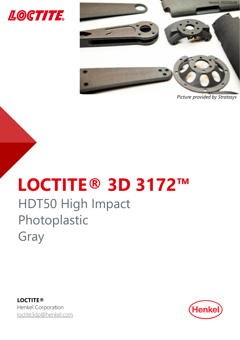



*Picture provided by Stratasys*

# **LOCTITE® 3D 3172™** HDT50 High Impact Photoplastic Gray

**LOCTITE®** Henkel Corporation [loctite3dp@henkel.com](mailto:loctite3dp@henkel.com)

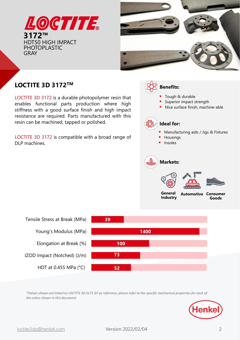



# **LOCTITE 3D 3172<sup>™</sup> Benefits:** Benefits:

LOCTITE 3D 3172 is a durable photopolymer resin that enables functional parts production where high stiffness with a good surface finish and high impact resistance are required. Parts manufactured with this resin can be machined, tapped or polished.

LOCTITE 3D 3172 is compatible with a broad range of DLP machines.





*\*Values shown are linked to LOCTITE 3D 3172 GY as reference, please refer to the specific mechanical properties for each of the colors shown in this document*

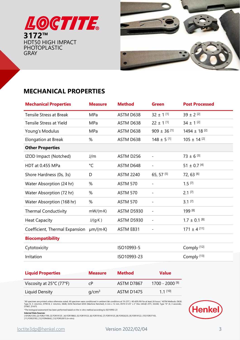



# **MECHANICAL PROPERTIES**

| <b>Mechanical Properties</b>   | <b>Measure</b>   | <b>Method</b>     | <b>Green</b>             | <b>Post Processed</b>    |
|--------------------------------|------------------|-------------------|--------------------------|--------------------------|
| <b>Tensile Stress at Break</b> | MPa              | ASTM D638         | $32 \pm 1$ [1]           | $39 \pm 2$ [2]           |
| <b>Tensile Stress at Yield</b> | MPa              | ASTM D638         | $22 \pm 1$ [1]           | $34 \pm 1$ [2]           |
| Young's Modulus                | MPa              | ASTM D638         | $909 \pm 36$ [1]         | 1494 ± 18 <sup>[2]</sup> |
| <b>Elongation at Break</b>     | %                | ASTM D638         | $148 \pm 5$ [1]          | $105 \pm 14$ [2]         |
| <b>Other Properties</b>        |                  |                   |                          |                          |
| IZOD Impact (Notched)          | J/m              | ASTM D256         |                          | $73 \pm 6$ [3]           |
| HDT at 0.455 MPa               | °C               | ASTM D648         | $\overline{\phantom{0}}$ | $51 \pm 0.7$ [4]         |
| Shore Hardness (0s, 3s)        | D                | <b>ASTM 2240</b>  | 65, 57 [5]               | 72, 63 [6]               |
| Water Absorption (24 hr)       | %                | <b>ASTM 570</b>   |                          | $1.5$ [7]                |
| Water Absorption (72 hr)       | %                | <b>ASTM 570</b>   |                          | $2.1$ [7]                |
| Water Absorption (168 hr)      | %                | <b>ASTM 570</b>   |                          | $3.1$ [7]                |
| <b>Thermal Conductivity</b>    | $mW/(m \cdot K)$ | <b>ASTM D5930</b> | $\overline{\phantom{a}}$ | 199 [8]                  |
| <b>Heat Capacity</b>           | $J/(g \cdot K)$  | <b>ASTM D5930</b> | $\overline{\phantom{a}}$ | $1.7 \pm 0.1$ [8]        |
| Coefficient, Thermal Expansion | $\mu$ m/(m·K)    | ASTM E831         |                          | $171 \pm 4$ [11]         |
| <b>Biocompatibility</b>        |                  |                   |                          |                          |
| Cytotoxicity                   |                  | ISO10993-5        |                          | Comply <sup>[12]</sup>   |
| Irritation                     |                  | ISO10993-23       |                          | Comply <sup>[13]</sup>   |

| <b>Liquid Properties</b>                      | <b>Measure</b>    | <b>Method</b> | <b>Value</b>    |  |
|-----------------------------------------------|-------------------|---------------|-----------------|--|
| Viscosity at $25^{\circ}$ C (77 $^{\circ}$ F) | сP                | ASTM D7867    | 1700 - 2000 [9] |  |
| Liquid Density                                | q/cm <sup>3</sup> | ASTM D1475    | $11^{[10]}$     |  |

"All specimen are printed unless otherwise noted. All specimen were conditioned in ambient lab conditions at 19-23°C / 40-60% RH for at least 24 hours." ASTM Methods: D638<br>Type IV, 5 mm/min, D790-B, 2 mm/min, D648, D256

\*The biological assessment has been performed based on the in vitro method according to ISO10993-23

**Internal Data Sources:**<br>[1]FOR21293, [2] FOR21199, [3] FOR19120 , [4] FOR19863, [5] FOR19123, [6] FOR19142, [7] FOR19125, [8] FOR26233, [9] FOR19122, [10] FOR37165,<br>[11] FOR25783, [12] FOR40642, [13] FOR52815 (in-vitro)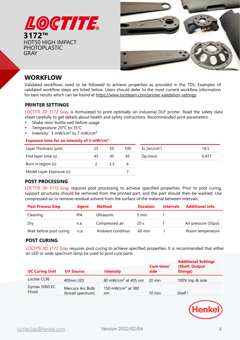



# **WORKFLOW**

Validated workflows need to be followed to achieve properties as provided in the TDS. Examples of validated workflow steps are listed below. Users should defer to the most current workflow information for best results which can be found at <https://www.loctiteam.com/printer-validation-settings>

## **PRINTER SETTINGS**

LOCTITE 3D 3172 Gray is formulated to print optimally on industrial DLP printer. Read the safety data sheet carefully to get details about health and safety instructions. Recommended print parameters:

- Shake resin bottle well before usage
- Temperature: 20°C to 35°C
- Intensity:  $3 \text{ mW/cm}^2$  to 7 mW/cm<sup>2</sup>

### **Exposure time for an intensity of 5 mW/cm²**

| Layer Thickness (µm):     | 25 | 50 | 100 | Ec $(mJ/cm2)$ | 18.5  |
|---------------------------|----|----|-----|---------------|-------|
| First layer time (s)      | 45 | 45 | 45  | $Dp$ (mm):    | 0.477 |
| Burn in region (s):       |    |    |     |               |       |
| Model Layer Exposure (s): |    |    |     |               |       |

## **POST PROCESSING**

LOCTITE 3D 3172 Gray requires post processing to achieve specified properties. Prior to post curing, support structures should be removed from the printed part, and the part should then be washed. Use compressed air to remove residual solvent from the surface of the material between intervals.

| <b>Post Process Step</b> | Agent | Method            | <b>Duration</b>  | <b>Intervals</b> | <b>Additional Info</b> |
|--------------------------|-------|-------------------|------------------|------------------|------------------------|
| Cleaning                 | IPA   | <b>Ultrasonic</b> | 5 min            |                  |                        |
| Dry                      | n.a.  | Compressed air    | 20 <sub>s</sub>  |                  | Air pressure (55psi)   |
| Wait before post curing  | n.a.  | Ambient condition | $60 \text{ min}$ |                  | Room temperature       |

## **POST CURING**

LOCTITE 3D 3172 Gray requires post curing to achieve specified properties. It is recommended that either an LED or wide spectrum lamp be used to post cure parts.

| <b>UC Curing Unit</b>  | <b>UV Source</b>                     | <b>Intensity</b>                    | <b>Cure time/</b><br>side | <b>Additional Settings</b><br>(Shelf, Output<br>Energy) |
|------------------------|--------------------------------------|-------------------------------------|---------------------------|---------------------------------------------------------|
| Loctite CL36           | 405nm LED                            | 80 mW/cm <sup>2</sup> at 405 nm     | 20 min                    | 100% top & side                                         |
| Dymax 5000 EC<br>Flood | Mercury Arc Bulb<br>(broad spectrum) | 150 mW/cm <sup>2</sup> at 380<br>nm | $10 \text{ min}$          | Shelf I                                                 |